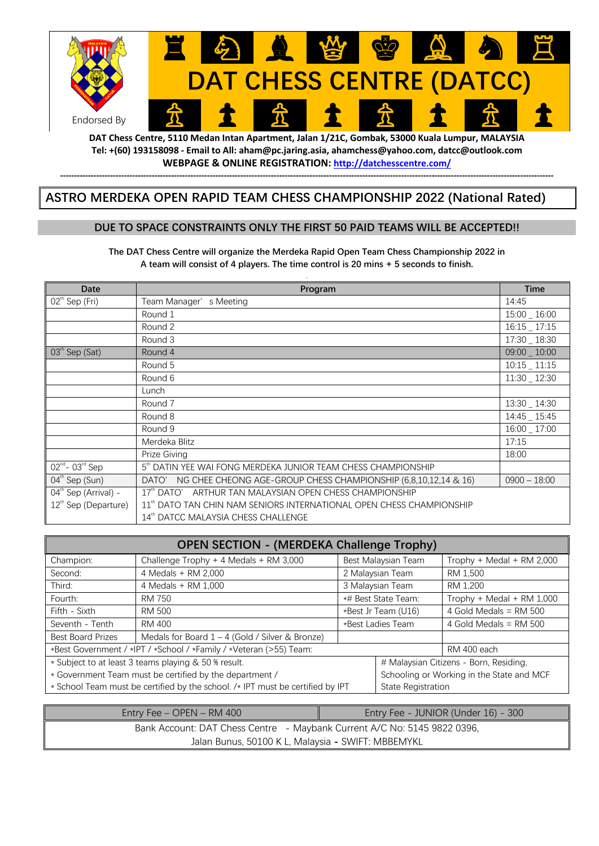

**DAT Chess Centre, 5110 Medan Intan Apartment, Jalan 1/21C, Gombak, 53000 Kuala Lumpur, MALAYSIA Tel: +(60) 193158098 - Email to All: aham@pc.jaring.asia, ahamchess@yahoo.com, datcc@outlook.com WEBPAGE & ONLINE REGISTRATION: http://datchesscentre.com/ ----------------------------------------------------------------------------------------------------------------------------------------------------------------------------------**

## **ASTRO MERDEKA OPEN RAPID TEAM CHESS CHAMPIONSHIP 2022 (National Rated)**

#### **DUE TO SPACE CONSTRAINTS ONLY THE FIRST 50 PAID TEAMS WILL BE ACCEPTED!!**

**The DAT Chess Centre will organize the Merdeka Rapid Open Team Chess Championship 2022 in A team will consist of 4 players. The time control is 20 mins + 5 seconds to finish.** 

| Date                               | Program                                                                          | <b>Time</b>     |
|------------------------------------|----------------------------------------------------------------------------------|-----------------|
| $02^{\text{th}}$ Sep (Fri)         | Team Manager's Meeting                                                           | 14:45           |
|                                    | Round 1                                                                          | 15:00 16:00     |
|                                    | Round 2                                                                          | $16:15 - 17:15$ |
|                                    | Round 3                                                                          | 17:30 _ 18:30   |
| $03th$ Sep (Sat)                   | Round 4                                                                          | 09:00 _ 10:00   |
|                                    | Round 5                                                                          | $10:15 - 11:15$ |
|                                    | Round 6                                                                          | 11:30 _ 12:30   |
|                                    | Lunch                                                                            |                 |
|                                    | Round 7                                                                          | 13:30 _ 14:30   |
|                                    | Round 8                                                                          | 14:45 _ 15:45   |
|                                    | Round 9                                                                          | 16:00 17:00     |
|                                    | Merdeka Blitz                                                                    | 17:15           |
|                                    | Prize Giving                                                                     | 18:00           |
| $\overline{02^{nd} - 03^{rd}}$ Sep | 5th DATIN YEE WAI FONG MERDEKA JUNIOR TEAM CHESS CHAMPIONSHIP                    |                 |
| $04^{\text{th}}$ Sep (Sun)         | DATO'<br>NG CHEE CHEONG AGE-GROUP CHESS CHAMPIONSHIP (6,8,10,12,14 & 16)         | $0900 - 18:00$  |
| 04 <sup>th</sup> Sep (Arrival) -   | $17th$ DATO'<br>ARTHUR TAN MALAYSIAN OPEN CHESS CHAMPIONSHIP                     |                 |
| 12 <sup>th</sup> Sep (Departure)   | 11 <sup>th</sup> DATO TAN CHIN NAM SENIORS INTERNATIONAL OPEN CHESS CHAMPIONSHIP |                 |
|                                    | 14 <sup>th</sup> DATCC MALAYSIA CHESS CHALLENGE                                  |                 |

| <b>OPEN SECTION - (MERDEKA Challenge Trophy)</b>                               |                                                   |                     |                     |                                           |  |
|--------------------------------------------------------------------------------|---------------------------------------------------|---------------------|---------------------|-------------------------------------------|--|
| Champion:                                                                      | Challenge Trophy + 4 Medals + RM 3,000            |                     | Best Malaysian Team | Trophy + Medal + RM 2,000                 |  |
| Second:                                                                        | 4 Medals + RM 2,000                               | 2 Malaysian Team    |                     | RM 1,500                                  |  |
| Third:                                                                         | 4 Medals + RM 1,000                               | 3 Malaysian Team    |                     | RM 1.200                                  |  |
| Fourth:                                                                        | RM 750                                            |                     | *# Best State Team: | Trophy + Medal + RM 1,000                 |  |
| Fifth - Sixth                                                                  | RM 500                                            | *Best Jr Team (U16) |                     | 4 Gold Medals = $RM$ 500                  |  |
| Seventh - Tenth                                                                | RM 400                                            | *Best Ladies Team   |                     | 4 Gold Medals = $RM$ 500                  |  |
| <b>Best Board Prizes</b>                                                       | Medals for Board $1 - 4$ (Gold / Silver & Bronze) |                     |                     |                                           |  |
| *Best Government / *IPT / *School / *Family / *Veteran (>55) Team:             |                                                   |                     |                     | RM 400 each                               |  |
| * Subject to at least 3 teams playing & 50 % result.                           |                                                   |                     |                     | # Malaysian Citizens - Born, Residing,    |  |
| * Government Team must be certified by the department /                        |                                                   |                     |                     | Schooling or Working in the State and MCF |  |
| * School Team must be certified by the school. /* IPT must be certified by IPT |                                                   |                     | State Registration  |                                           |  |

| Entry Fee $-$ OPEN $-$ RM 400                                            | Entry Fee - JUNIOR (Under 16) - 300 |  |  |  |
|--------------------------------------------------------------------------|-------------------------------------|--|--|--|
| Bank Account: DAT Chess Centre - Maybank Current A/C No: 5145 9822 0396, |                                     |  |  |  |
| Jalan Bunus, 50100 K L, Malaysia - SWIFT: MBBEMYKL                       |                                     |  |  |  |